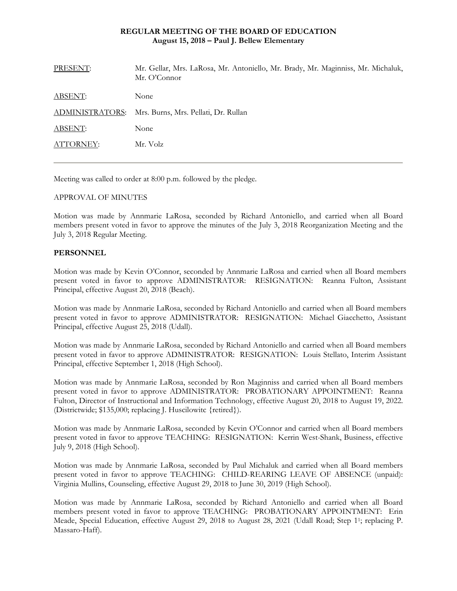# **REGULAR MEETING OF THE BOARD OF EDUCATION August 15, 2018 – Paul J. Bellew Elementary**

| PRESENT:        | Mr. Gellar, Mrs. LaRosa, Mr. Antoniello, Mr. Brady, Mr. Maginniss, Mr. Michaluk,<br>Mr. O'Connor |
|-----------------|--------------------------------------------------------------------------------------------------|
| ABSENT:         | None                                                                                             |
| ADMINISTRATORS: | Mrs. Burns, Mrs. Pellati, Dr. Rullan                                                             |
| ABSENT:         | None                                                                                             |
| ATTORNEY:       | Mr. Volz                                                                                         |
|                 |                                                                                                  |

Meeting was called to order at 8:00 p.m. followed by the pledge.

# APPROVAL OF MINUTES

Motion was made by Annmarie LaRosa, seconded by Richard Antoniello, and carried when all Board members present voted in favor to approve the minutes of the July 3, 2018 Reorganization Meeting and the July 3, 2018 Regular Meeting.

# **PERSONNEL**

Motion was made by Kevin O'Connor, seconded by Annmarie LaRosa and carried when all Board members present voted in favor to approve ADMINISTRATOR: RESIGNATION: Reanna Fulton, Assistant Principal, effective August 20, 2018 (Beach).

Motion was made by Annmarie LaRosa, seconded by Richard Antoniello and carried when all Board members present voted in favor to approve ADMINISTRATOR: RESIGNATION: Michael Giacchetto, Assistant Principal, effective August 25, 2018 (Udall).

Motion was made by Annmarie LaRosa, seconded by Richard Antoniello and carried when all Board members present voted in favor to approve ADMINISTRATOR: RESIGNATION: Louis Stellato, Interim Assistant Principal, effective September 1, 2018 (High School).

Motion was made by Annmarie LaRosa, seconded by Ron Maginniss and carried when all Board members present voted in favor to approve ADMINISTRATOR: PROBATIONARY APPOINTMENT: Reanna Fulton, Director of Instructional and Information Technology, effective August 20, 2018 to August 19, 2022. (Districtwide; \$135,000; replacing J. Huscilowitc {retired}).

Motion was made by Annmarie LaRosa, seconded by Kevin O'Connor and carried when all Board members present voted in favor to approve TEACHING: RESIGNATION: Kerrin West-Shank, Business, effective July 9, 2018 (High School).

Motion was made by Annmarie LaRosa, seconded by Paul Michaluk and carried when all Board members present voted in favor to approve TEACHING: CHILD-REARING LEAVE OF ABSENCE (unpaid): Virginia Mullins, Counseling, effective August 29, 2018 to June 30, 2019 (High School).

Motion was made by Annmarie LaRosa, seconded by Richard Antoniello and carried when all Board members present voted in favor to approve TEACHING: PROBATIONARY APPOINTMENT: Erin Meade, Special Education, effective August 29, 2018 to August 28, 2021 (Udall Road; Step 11; replacing P. Massaro-Haff).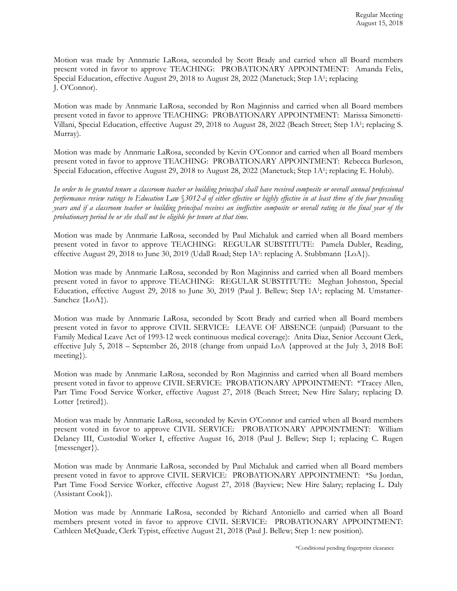Motion was made by Annmarie LaRosa, seconded by Scott Brady and carried when all Board members present voted in favor to approve TEACHING: PROBATIONARY APPOINTMENT: Amanda Felix, Special Education, effective August 29, 2018 to August 28, 2022 (Manetuck; Step 1A1; replacing J. O'Connor).

Motion was made by Annmarie LaRosa, seconded by Ron Maginniss and carried when all Board members present voted in favor to approve TEACHING: PROBATIONARY APPOINTMENT: Marissa Simonetti-Villani, Special Education, effective August 29, 2018 to August 28, 2022 (Beach Street; Step 1A1; replacing S. Murray).

Motion was made by Annmarie LaRosa, seconded by Kevin O'Connor and carried when all Board members present voted in favor to approve TEACHING: PROBATIONARY APPOINTMENT: Rebecca Burleson, Special Education, effective August 29, 2018 to August 28, 2022 (Manetuck; Step 1A1; replacing E. Holub).

*In order to be granted tenure a classroom teacher or building principal shall have received composite or overall annual professional performance review ratings to Education Law* §*3012-d of either effective or highly effective in at least three of the four preceding years and if a classroom teacher or building principal receives an ineffective composite or overall rating in the final year of the probationary period he or she shall not be eligible for tenure at that time.* 

Motion was made by Annmarie LaRosa, seconded by Paul Michaluk and carried when all Board members present voted in favor to approve TEACHING: REGULAR SUBSTITUTE: Pamela Dubler, Reading, effective August 29, 2018 to June 30, 2019 (Udall Road; Step 1A<sup>1</sup>: replacing A. Stubbmann {LoA}).

Motion was made by Annmarie LaRosa, seconded by Ron Maginniss and carried when all Board members present voted in favor to approve TEACHING: REGULAR SUBSTITUTE: Meghan Johnston, Special Education, effective August 29, 2018 to June 30, 2019 (Paul J. Bellew; Step 1A1; replacing M. Umstatter-Sanchez {LoA}).

Motion was made by Annmarie LaRosa, seconded by Scott Brady and carried when all Board members present voted in favor to approve CIVIL SERVICE:LEAVE OF ABSENCE (unpaid) (Pursuant to the Family Medical Leave Act of 1993-12 week continuous medical coverage): Anita Diaz, Senior Account Clerk, effective July 5, 2018 – September 26, 2018 (change from unpaid LoA {approved at the July 3, 2018 BoE meeting}).

Motion was made by Annmarie LaRosa, seconded by Ron Maginniss and carried when all Board members present voted in favor to approve CIVIL SERVICE:PROBATIONARY APPOINTMENT: \*Tracey Allen, Part Time Food Service Worker, effective August 27, 2018 (Beach Street; New Hire Salary; replacing D. Lotter {retired}).

Motion was made by Annmarie LaRosa, seconded by Kevin O'Connor and carried when all Board members present voted in favor to approve CIVIL SERVICE:PROBATIONARY APPOINTMENT: William Delaney III, Custodial Worker I, effective August 16, 2018 (Paul J. Bellew; Step 1; replacing C. Rugen {messenger}).

Motion was made by Annmarie LaRosa, seconded by Paul Michaluk and carried when all Board members present voted in favor to approve CIVIL SERVICE:PROBATIONARY APPOINTMENT: \*Su Jordan, Part Time Food Service Worker, effective August 27, 2018 (Bayview; New Hire Salary; replacing L. Daly (Assistant Cook}).

Motion was made by Annmarie LaRosa, seconded by Richard Antoniello and carried when all Board members present voted in favor to approve CIVIL SERVICE:PROBATIONARY APPOINTMENT: Cathleen McQuade, Clerk Typist, effective August 21, 2018 (Paul J. Bellew; Step 1: new position).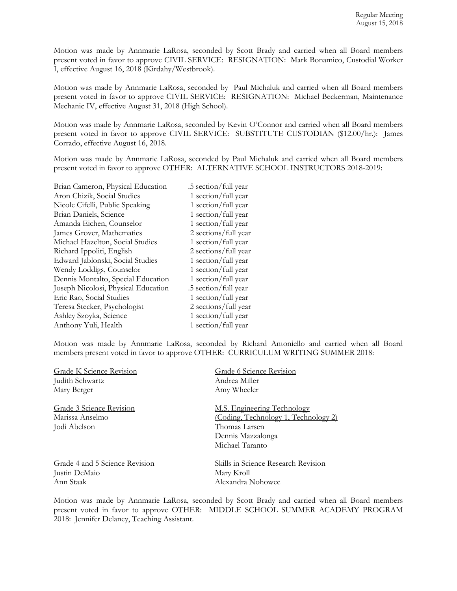Motion was made by Annmarie LaRosa, seconded by Scott Brady and carried when all Board members present voted in favor to approve CIVIL SERVICE:RESIGNATION:Mark Bonamico, Custodial Worker I, effective August 16, 2018 (Kirdahy/Westbrook).

Motion was made by Annmarie LaRosa, seconded by Paul Michaluk and carried when all Board members present voted in favor to approve CIVIL SERVICE:RESIGNATION: Michael Beckerman, Maintenance Mechanic IV, effective August 31, 2018 (High School).

Motion was made by Annmarie LaRosa, seconded by Kevin O'Connor and carried when all Board members present voted in favor to approve CIVIL SERVICE:SUBSTITUTE CUSTODIAN (\$12.00/hr.): James Corrado, effective August 16, 2018.

Motion was made by Annmarie LaRosa, seconded by Paul Michaluk and carried when all Board members present voted in favor to approve OTHER: ALTERNATIVE SCHOOL INSTRUCTORS 2018-2019:

| Brian Cameron, Physical Education   | .5 section/full year |
|-------------------------------------|----------------------|
| Aron Chizik, Social Studies         | 1 section/full year  |
| Nicole Cifelli, Public Speaking     | 1 section/full year  |
| Brian Daniels, Science              | 1 section/full year  |
| Amanda Eichen, Counselor            | 1 section/full year  |
| James Grover, Mathematics           | 2 sections/full year |
| Michael Hazelton, Social Studies    | 1 section/full year  |
| Richard Ippoliti, English           | 2 sections/full year |
| Edward Jablonski, Social Studies    | 1 section/full year  |
| Wendy Loddigs, Counselor            | 1 section/full year  |
| Dennis Montalto, Special Education  | 1 section/full year  |
| Joseph Nicolosi, Physical Education | .5 section/full year |
| Eric Rao, Social Studies            | 1 section/full year  |
| Teresa Stecker, Psychologist        | 2 sections/full year |
| Ashley Szoyka, Science              | 1 section/full year  |
| Anthony Yuli, Health                | 1 section/full year  |

Motion was made by Annmarie LaRosa, seconded by Richard Antoniello and carried when all Board members present voted in favor to approve OTHER: CURRICULUM WRITING SUMMER 2018:

| <b>Grade K Science Revision</b> | Grade 6 Science Revision                                                     |
|---------------------------------|------------------------------------------------------------------------------|
| Judith Schwartz                 | Andrea Miller                                                                |
| Mary Berger                     | Amy Wheeler                                                                  |
| Grade 3 Science Revision        | M.S. Engineering Technology                                                  |
| Marissa Anselmo                 | (Coding, Technology 1, Technology 2)                                         |
| Jodi Abelson                    | Thomas Larsen                                                                |
|                                 | Dennis Mazzalonga                                                            |
|                                 | Michael Taranto                                                              |
| Grade 4 and 5 Science Revision  | <b>Skills in Science Research Revision</b>                                   |
| Justin DeMaio                   | Mary Kroll                                                                   |
| Ann Staak                       | Alexandra Nohowec                                                            |
|                                 | Motion was made by Annmarie LaRosa, seconded by Scott Brady and carried when |

en all Board members present voted in favor to approve OTHER: MIDDLE SCHOOL SUMMER ACADEMY PROGRAM 2018: Jennifer Delaney, Teaching Assistant.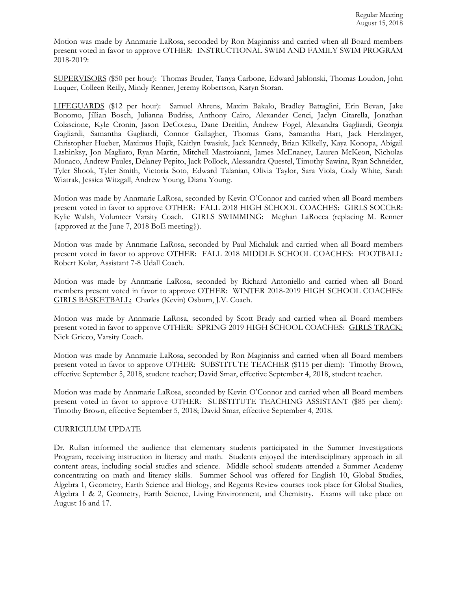Motion was made by Annmarie LaRosa, seconded by Ron Maginniss and carried when all Board members present voted in favor to approve OTHER: INSTRUCTIONAL SWIM AND FAMILY SWIM PROGRAM 2018-2019:

SUPERVISORS (\$50 per hour): Thomas Bruder, Tanya Carbone, Edward Jablonski, Thomas Loudon, John Luquer, Colleen Reilly, Mindy Renner, Jeremy Robertson, Karyn Storan.

LIFEGUARDS (\$12 per hour): Samuel Ahrens, Maxim Bakalo, Bradley Battaglini, Erin Bevan, Jake Bonomo, Jillian Bosch, Julianna Budriss, Anthony Cairo, Alexander Cenci, Jaclyn Citarella, Jonathan Colascione, Kyle Cronin, Jason DeCoteau, Dane Dreitlin, Andrew Fogel, Alexandra Gagliardi, Georgia Gagliardi, Samantha Gagliardi, Connor Gallagher, Thomas Gans, Samantha Hart, Jack Herzlinger, Christopher Hueber, Maximus Hujik, Kaitlyn Iwasiuk, Jack Kennedy, Brian Kilkelly, Kaya Konopa, Abigail Lashinksy, Jon Magliaro, Ryan Martin, Mitchell Mastroianni, James McEnaney, Lauren McKeon, Nicholas Monaco, Andrew Paules, Delaney Pepito, Jack Pollock, Alessandra Questel, Timothy Sawina, Ryan Schneider, Tyler Shook, Tyler Smith, Victoria Soto, Edward Talanian, Olivia Taylor, Sara Viola, Cody White, Sarah Wiatrak, Jessica Witzgall, Andrew Young, Diana Young.

Motion was made by Annmarie LaRosa, seconded by Kevin O'Connor and carried when all Board members present voted in favor to approve OTHER: FALL 2018 HIGH SCHOOL COACHES: GIRLS SOCCER: Kylie Walsh, Volunteer Varsity Coach. GIRLS SWIMMING: Meghan LaRocca (replacing M. Renner {approved at the June 7, 2018 BoE meeting}).

Motion was made by Annmarie LaRosa, seconded by Paul Michaluk and carried when all Board members present voted in favor to approve OTHER: FALL 2018 MIDDLE SCHOOL COACHES: FOOTBALL: Robert Kolar, Assistant 7-8 Udall Coach.

Motion was made by Annmarie LaRosa, seconded by Richard Antoniello and carried when all Board members present voted in favor to approve OTHER: WINTER 2018-2019 HIGH SCHOOL COACHES: GIRLS BASKETBALL: Charles (Kevin) Osburn, J.V. Coach.

Motion was made by Annmarie LaRosa, seconded by Scott Brady and carried when all Board members present voted in favor to approve OTHER: SPRING 2019 HIGH SCHOOL COACHES: GIRLS TRACK: Nick Grieco, Varsity Coach.

Motion was made by Annmarie LaRosa, seconded by Ron Maginniss and carried when all Board members present voted in favor to approve OTHER: SUBSTITUTE TEACHER (\$115 per diem): Timothy Brown, effective September 5, 2018, student teacher; David Smar, effective September 4, 2018, student teacher.

Motion was made by Annmarie LaRosa, seconded by Kevin O'Connor and carried when all Board members present voted in favor to approve OTHER: SUBSTITUTE TEACHING ASSISTANT (\$85 per diem): Timothy Brown, effective September 5, 2018; David Smar, effective September 4, 2018.

### CURRICULUM UPDATE

Dr. Rullan informed the audience that elementary students participated in the Summer Investigations Program, receiving instruction in literacy and math. Students enjoyed the interdisciplinary approach in all content areas, including social studies and science. Middle school students attended a Summer Academy concentrating on math and literacy skills. Summer School was offered for English 10, Global Studies, Algebra 1, Geometry, Earth Science and Biology, and Regents Review courses took place for Global Studies, Algebra 1 & 2, Geometry, Earth Science, Living Environment, and Chemistry. Exams will take place on August 16 and 17.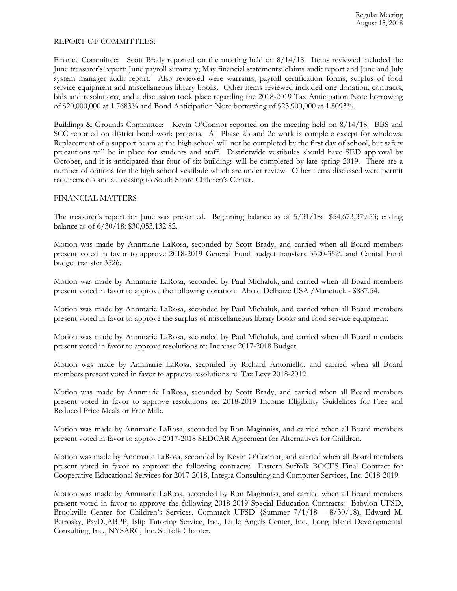#### REPORT OF COMMITTEES:

Finance Committee: Scott Brady reported on the meeting held on 8/14/18. Items reviewed included the June treasurer's report; June payroll summary; May financial statements; claims audit report and June and July system manager audit report. Also reviewed were warrants, payroll certification forms, surplus of food service equipment and miscellaneous library books. Other items reviewed included one donation, contracts, bids and resolutions, and a discussion took place regarding the 2018-2019 Tax Anticipation Note borrowing of \$20,000,000 at 1.7683% and Bond Anticipation Note borrowing of \$23,900,000 at 1.8093%.

Buildings & Grounds Committee: Kevin O'Connor reported on the meeting held on 8/14/18. BBS and SCC reported on district bond work projects. All Phase 2b and 2c work is complete except for windows. Replacement of a support beam at the high school will not be completed by the first day of school, but safety precautions will be in place for students and staff. Districtwide vestibules should have SED approval by October, and it is anticipated that four of six buildings will be completed by late spring 2019. There are a number of options for the high school vestibule which are under review. Other items discussed were permit requirements and subleasing to South Shore Children's Center.

### FINANCIAL MATTERS

The treasurer's report for June was presented. Beginning balance as of 5/31/18: \$54,673,379.53; ending balance as of 6/30/18: \$30,053,132.82.

Motion was made by Annmarie LaRosa, seconded by Scott Brady, and carried when all Board members present voted in favor to approve 2018-2019 General Fund budget transfers 3520-3529 and Capital Fund budget transfer 3526.

Motion was made by Annmarie LaRosa, seconded by Paul Michaluk, and carried when all Board members present voted in favor to approve the following donation: Ahold Delhaize USA /Manetuck - \$887.54.

Motion was made by Annmarie LaRosa, seconded by Paul Michaluk, and carried when all Board members present voted in favor to approve the surplus of miscellaneous library books and food service equipment.

Motion was made by Annmarie LaRosa, seconded by Paul Michaluk, and carried when all Board members present voted in favor to approve resolutions re: Increase 2017-2018 Budget.

Motion was made by Annmarie LaRosa, seconded by Richard Antoniello, and carried when all Board members present voted in favor to approve resolutions re: Tax Levy 2018-2019.

Motion was made by Annmarie LaRosa, seconded by Scott Brady, and carried when all Board members present voted in favor to approve resolutions re: 2018-2019 Income Eligibility Guidelines for Free and Reduced Price Meals or Free Milk.

Motion was made by Annmarie LaRosa, seconded by Ron Maginniss, and carried when all Board members present voted in favor to approve 2017-2018 SEDCAR Agreement for Alternatives for Children.

Motion was made by Annmarie LaRosa, seconded by Kevin O'Connor, and carried when all Board members present voted in favor to approve the following contracts: Eastern Suffolk BOCES Final Contract for Cooperative Educational Services for 2017-2018, Integra Consulting and Computer Services, Inc. 2018-2019.

Motion was made by Annmarie LaRosa, seconded by Ron Maginniss, and carried when all Board members present voted in favor to approve the following 2018-2019 Special Education Contracts: Babylon UFSD, Brookville Center for Children's Services. Commack UFSD {Summer 7/1/18 – 8/30/18), Edward M. Petrosky, PsyD.,ABPP, Islip Tutoring Service, Inc., Little Angels Center, Inc., Long Island Developmental Consulting, Inc., NYSARC, Inc. Suffolk Chapter.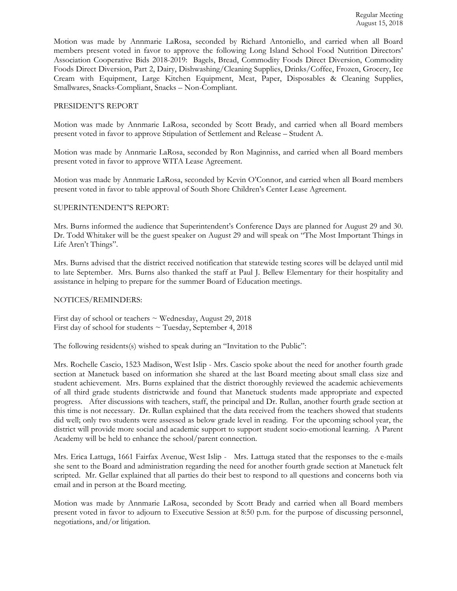Motion was made by Annmarie LaRosa, seconded by Richard Antoniello, and carried when all Board members present voted in favor to approve the following Long Island School Food Nutrition Directors' Association Cooperative Bids 2018-2019: Bagels, Bread, Commodity Foods Direct Diversion, Commodity Foods Direct Diversion, Part 2, Dairy, Dishwashing/Cleaning Supplies, Drinks/Coffee, Frozen, Grocery, Ice Cream with Equipment, Large Kitchen Equipment, Meat, Paper, Disposables & Cleaning Supplies, Smallwares, Snacks-Compliant, Snacks – Non-Compliant.

### PRESIDENT'S REPORT

Motion was made by Annmarie LaRosa, seconded by Scott Brady, and carried when all Board members present voted in favor to approve Stipulation of Settlement and Release – Student A.

Motion was made by Annmarie LaRosa, seconded by Ron Maginniss, and carried when all Board members present voted in favor to approve WITA Lease Agreement.

Motion was made by Annmarie LaRosa, seconded by Kevin O'Connor, and carried when all Board members present voted in favor to table approval of South Shore Children's Center Lease Agreement.

#### SUPERINTENDENT'S REPORT:

Mrs. Burns informed the audience that Superintendent's Conference Days are planned for August 29 and 30. Dr. Todd Whitaker will be the guest speaker on August 29 and will speak on "The Most Important Things in Life Aren't Things".

Mrs. Burns advised that the district received notification that statewide testing scores will be delayed until mid to late September. Mrs. Burns also thanked the staff at Paul J. Bellew Elementary for their hospitality and assistance in helping to prepare for the summer Board of Education meetings.

#### NOTICES/REMINDERS:

First day of school or teachers  $\sim$  Wednesday, August 29, 2018 First day of school for students  $\sim$  Tuesday, September 4, 2018

The following residents(s) wished to speak during an "Invitation to the Public":

Mrs. Rochelle Cascio, 1523 Madison, West Islip - Mrs. Cascio spoke about the need for another fourth grade section at Manetuck based on information she shared at the last Board meeting about small class size and student achievement. Mrs. Burns explained that the district thoroughly reviewed the academic achievements of all third grade students districtwide and found that Manetuck students made appropriate and expected progress. After discussions with teachers, staff, the principal and Dr. Rullan, another fourth grade section at this time is not necessary. Dr. Rullan explained that the data received from the teachers showed that students did well; only two students were assessed as below grade level in reading. For the upcoming school year, the district will provide more social and academic support to support student socio-emotional learning. A Parent Academy will be held to enhance the school/parent connection.

Mrs. Erica Lattuga, 1661 Fairfax Avenue, West Islip - Mrs. Lattuga stated that the responses to the e-mails she sent to the Board and administration regarding the need for another fourth grade section at Manetuck felt scripted. Mr. Gellar explained that all parties do their best to respond to all questions and concerns both via email and in person at the Board meeting.

Motion was made by Annmarie LaRosa, seconded by Scott Brady and carried when all Board members present voted in favor to adjourn to Executive Session at 8:50 p.m. for the purpose of discussing personnel, negotiations, and/or litigation.